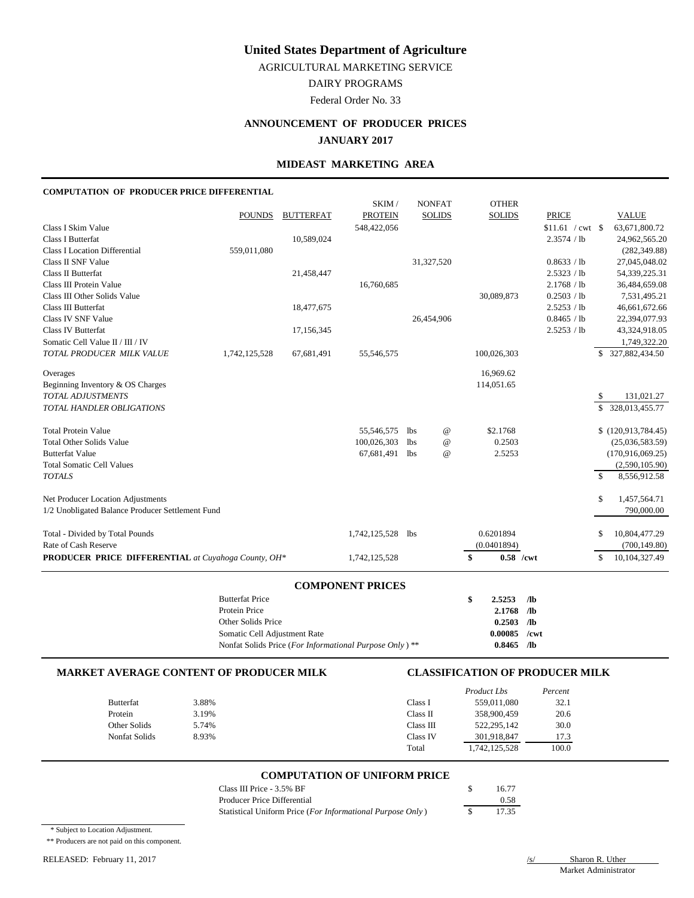AGRICULTURAL MARKETING SERVICE

DAIRY PROGRAMS

Federal Order No. 33

## **ANNOUNCEMENT OF PRODUCER PRICES JANUARY 2017**

#### **MIDEAST MARKETING AREA**

#### **COMPUTATION OF PRODUCER PRICE DIFFERENTIAL**

|                                                            |               |                  | SKIM/          | <b>NONFAT</b>   | <b>OTHER</b>              |                    |                      |
|------------------------------------------------------------|---------------|------------------|----------------|-----------------|---------------------------|--------------------|----------------------|
|                                                            | <b>POUNDS</b> | <b>BUTTERFAT</b> | <b>PROTEIN</b> | <b>SOLIDS</b>   | <b>SOLIDS</b>             | <b>PRICE</b>       | <b>VALUE</b>         |
| Class I Skim Value                                         |               |                  | 548,422,056    |                 |                           | $$11.61$ / cwt \\$ | 63,671,800.72        |
| <b>Class I Butterfat</b>                                   |               | 10,589,024       |                |                 |                           | 2.3574 / lb        | 24,962,565.20        |
| Class I Location Differential                              | 559,011,080   |                  |                |                 |                           |                    | (282, 349.88)        |
| <b>Class II SNF Value</b>                                  |               |                  |                | 31,327,520      |                           | 0.8633 / lb        | 27,045,048.02        |
| Class II Butterfat                                         |               | 21,458,447       |                |                 |                           | 2.5323 / lb        | 54, 339, 225. 31     |
| Class III Protein Value                                    |               |                  | 16,760,685     |                 |                           | 2.1768 / lb        | 36,484,659.08        |
| Class III Other Solids Value                               |               |                  |                |                 | 30,089,873                | 0.2503 / lb        | 7,531,495.21         |
| Class III Butterfat                                        |               | 18,477,675       |                |                 |                           | 2.5253 / lb        | 46,661,672.66        |
| Class IV SNF Value                                         |               |                  |                | 26,454,906      |                           | 0.8465 / lb        | 22,394,077.93        |
| <b>Class IV Butterfat</b>                                  |               | 17,156,345       |                |                 |                           | 2.5253 / lb        | 43,324,918.05        |
| Somatic Cell Value II / III / IV                           |               |                  |                |                 |                           |                    | 1,749,322.20         |
| TOTAL PRODUCER MILK VALUE                                  | 1,742,125,528 | 67,681,491       | 55,546,575     |                 | 100,026,303               |                    | \$ 327,882,434.50    |
| Overages                                                   |               |                  |                |                 | 16,969.62                 |                    |                      |
| Beginning Inventory & OS Charges                           |               |                  |                |                 | 114,051.65                |                    |                      |
| TOTAL ADJUSTMENTS                                          |               |                  |                |                 |                           |                    | 131,021.27<br>\$     |
| <b>TOTAL HANDLER OBLIGATIONS</b>                           |               |                  |                |                 |                           |                    | 328,013,455.77<br>\$ |
| <b>Total Protein Value</b>                                 |               |                  | 55,546,575     | 1 <sub>bs</sub> | \$2.1768<br>$\omega$      |                    | (120, 913, 784.45)   |
| <b>Total Other Solids Value</b>                            |               |                  | 100,026,303    | 1 <sub>bs</sub> | $^{\copyright}$<br>0.2503 |                    | (25,036,583.59)      |
| <b>Butterfat Value</b>                                     |               |                  | 67,681,491     | 1bs             | $\omega$<br>2.5253        |                    | (170,916,069.25)     |
| <b>Total Somatic Cell Values</b>                           |               |                  |                |                 |                           |                    | (2,590,105.90)       |
| <b>TOTALS</b>                                              |               |                  |                |                 |                           |                    | 8,556,912.58<br>\$   |
| Net Producer Location Adjustments                          |               |                  |                |                 |                           |                    | \$<br>1,457,564.71   |
| 1/2 Unobligated Balance Producer Settlement Fund           |               |                  |                |                 |                           |                    | 790,000.00           |
| Total - Divided by Total Pounds                            |               |                  | 1,742,125,528  | 1bs             | 0.6201894                 |                    | 10,804,477.29        |
| Rate of Cash Reserve                                       |               |                  |                |                 | (0.0401894)               |                    | (700, 149.80)        |
| <b>PRODUCER PRICE DIFFERENTIAL</b> at Cuyahoga County, OH* |               |                  | 1,742,125,528  |                 | \$                        | $0.58$ /cwt        | \$<br>10,104,327.49  |

#### **COMPONENT PRICES**

| <b>Butterfat Price</b>                                             | S | $2.5253$ /lb   |  |
|--------------------------------------------------------------------|---|----------------|--|
| Protein Price                                                      |   | $2.1768$ /lb   |  |
| Other Solids Price                                                 |   | $0.2503$ /lb   |  |
| Somatic Cell Adjustment Rate                                       |   | $0.00085$ /cwt |  |
| Nonfat Solids Price (For Informational Purpose Only) <sup>**</sup> |   | $0.8465$ /lb   |  |

### **MARKET AVERAGE CONTENT OF PRODUCER MILK CLASSIFICATION OF PRODUCER MILK**

|               |       |           | Product Lbs   | Percent |
|---------------|-------|-----------|---------------|---------|
| Butterfat     | 3.88% | Class I   | 559.011.080   | 32.1    |
| Protein       | 3.19% | Class II  | 358,900,459   | 20.6    |
| Other Solids  | 5.74% | Class III | 522.295.142   | 30.0    |
| Nonfat Solids | 8.93% | Class IV  | 301.918.847   | 17.3    |
|               |       | Total     | 1,742,125,528 | 100.0   |

## **COMPUTATION OF UNIFORM PRICE**

| Class III Price $-3.5\%$ BF                                | 16.77 |
|------------------------------------------------------------|-------|
| Producer Price Differential                                | 0.58  |
| Statistical Uniform Price (For Informational Purpose Only) | 17.35 |

\* Subject to Location Adjustment.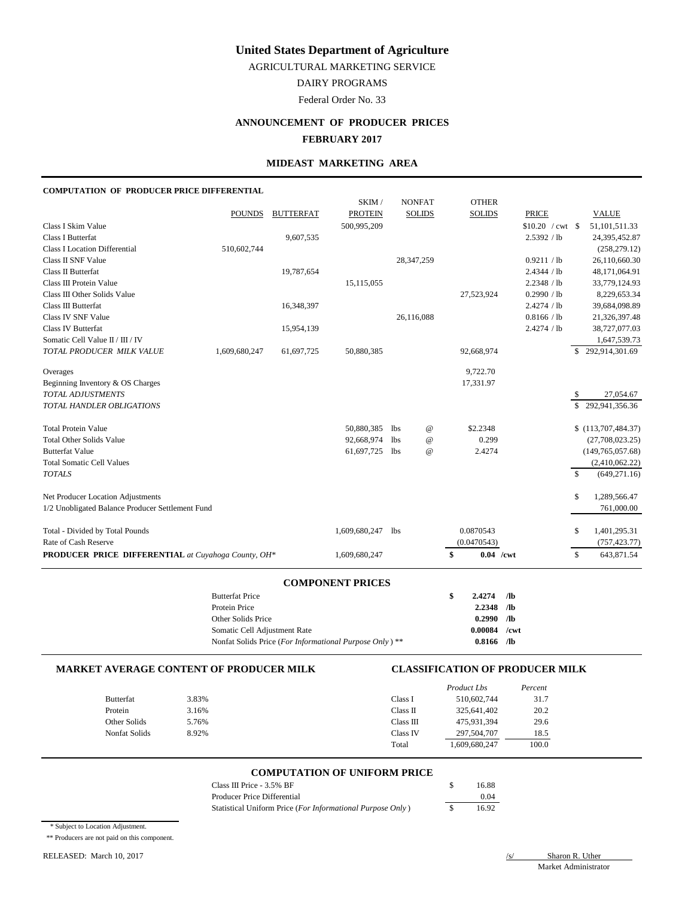AGRICULTURAL MARKETING SERVICE

DAIRY PROGRAMS

Federal Order No. 33

## **ANNOUNCEMENT OF PRODUCER PRICES**

## **FEBRUARY 2017**

### **MIDEAST MARKETING AREA**

### **COMPUTATION OF PRODUCER PRICE DIFFERENTIAL**

|                                                     |               |                  | SKIM/          |            | <b>NONFAT</b>             | <b>OTHER</b>      |                          |               |                    |
|-----------------------------------------------------|---------------|------------------|----------------|------------|---------------------------|-------------------|--------------------------|---------------|--------------------|
|                                                     | <b>POUNDS</b> | <b>BUTTERFAT</b> | <b>PROTEIN</b> |            | <b>SOLIDS</b>             | <b>SOLIDS</b>     | <b>PRICE</b>             |               | <b>VALUE</b>       |
| Class I Skim Value                                  |               |                  | 500,995,209    |            |                           |                   | $$10.20 / \text{cwt}$ \$ |               | 51,101,511.33      |
| <b>Class I Butterfat</b>                            |               | 9,607,535        |                |            |                           |                   | 2.5392 / lb              |               | 24,395,452.87      |
| <b>Class I Location Differential</b>                | 510,602,744   |                  |                |            |                           |                   |                          |               | (258, 279.12)      |
| Class II SNF Value                                  |               |                  |                |            | 28,347,259                |                   | 0.9211 / lb              |               | 26,110,660.30      |
| Class II Butterfat                                  |               | 19,787,654       |                |            |                           |                   | 2.4344 / lb              |               | 48,171,064.91      |
| Class III Protein Value                             |               |                  | 15,115,055     |            |                           |                   | 2.2348 / lb              |               | 33,779,124.93      |
| Class III Other Solids Value                        |               |                  |                |            |                           | 27,523,924        | 0.2990 / lb              |               | 8,229,653.34       |
| Class III Butterfat                                 |               | 16,348,397       |                |            |                           |                   | 2.4274 / lb              |               | 39,684,098.89      |
| Class IV SNF Value                                  |               |                  |                |            | 26,116,088                |                   | 0.8166 / lb              |               | 21,326,397.48      |
| <b>Class IV Butterfat</b>                           |               | 15,954,139       |                |            |                           |                   | 2.4274 / lb              |               | 38,727,077.03      |
| Somatic Cell Value II / III / IV                    |               |                  |                |            |                           |                   |                          |               | 1,647,539.73       |
| TOTAL PRODUCER MILK VALUE                           | 1,609,680,247 | 61,697,725       | 50,880,385     |            |                           | 92,668,974        |                          |               | \$292,914,301.69   |
|                                                     |               |                  |                |            |                           |                   |                          |               |                    |
| Overages                                            |               |                  |                |            |                           | 9,722.70          |                          |               |                    |
| Beginning Inventory & OS Charges                    |               |                  |                |            |                           | 17,331.97         |                          |               |                    |
| <b>TOTAL ADJUSTMENTS</b>                            |               |                  |                |            |                           |                   |                          | \$            | 27,054.67          |
| <b>TOTAL HANDLER OBLIGATIONS</b>                    |               |                  |                |            |                           |                   |                          | S.            | 292,941,356.36     |
| <b>Total Protein Value</b>                          |               |                  | 50,880,385     | lbs        | @                         | \$2.2348          |                          |               | \$(113,707,484.37) |
| <b>Total Other Solids Value</b>                     |               |                  | 92,668,974     | <b>lbs</b> | $^\text{\textregistered}$ | 0.299             |                          |               | (27,708,023.25)    |
| <b>Butterfat Value</b>                              |               |                  | 61,697,725     | lbs        | $\omega$                  | 2.4274            |                          |               | (149, 765, 057.68) |
| <b>Total Somatic Cell Values</b>                    |               |                  |                |            |                           |                   |                          |               | (2,410,062.22)     |
| <b>TOTALS</b>                                       |               |                  |                |            |                           |                   |                          | $\mathbb{S}$  | (649, 271.16)      |
|                                                     |               |                  |                |            |                           |                   |                          |               |                    |
| Net Producer Location Adjustments                   |               |                  |                |            |                           |                   |                          | \$            | 1,289,566.47       |
| 1/2 Unobligated Balance Producer Settlement Fund    |               |                  |                |            |                           |                   |                          |               | 761,000.00         |
| Total - Divided by Total Pounds                     |               |                  | 1,609,680,247  | lbs        |                           | 0.0870543         |                          | <sup>\$</sup> | 1,401,295.31       |
| Rate of Cash Reserve                                |               |                  |                |            |                           | (0.0470543)       |                          |               | (757, 423.77)      |
| PRODUCER PRICE DIFFERENTIAL at Cuyahoga County, OH* |               |                  | 1,609,680,247  |            |                           | \$<br>$0.04$ /cwt |                          | $\mathbb{S}$  | 643,871.54         |
|                                                     |               |                  |                |            |                           |                   |                          |               |                    |

#### **COMPONENT PRICES**

| <b>Butterfat Price</b>                                             | S | 2.4274         | - /lb |
|--------------------------------------------------------------------|---|----------------|-------|
| Protein Price                                                      |   | $2.2348$ /lb   |       |
| Other Solids Price                                                 |   | $0.2990$ /lb   |       |
| Somatic Cell Adjustment Rate                                       |   | $0.00084$ /cwt |       |
| Nonfat Solids Price (For Informational Purpose Only) <sup>**</sup> |   | $0.8166$ /lb   |       |

#### **MARKET AVERAGE CONTENT OF PRODUCER MILK CLASSIFICATION OF PRODUCER MILK**

|               |       |           | <b>Product Lbs</b> | Percent |
|---------------|-------|-----------|--------------------|---------|
| Butterfat     | 3.83% | Class I   | 510.602.744        | 31.7    |
| Protein       | 3.16% | Class II  | 325.641.402        | 20.2    |
| Other Solids  | 5.76% | Class III | 475,931,394        | 29.6    |
| Nonfat Solids | 8.92% | Class IV  | 297,504,707        | 18.5    |
|               |       | Total     | 1.609.680.247      | 100.0   |

#### **COMPUTATION OF UNIFORM PRICE**

| Class III Price - 3.5% BF                                  | 16.88 |
|------------------------------------------------------------|-------|
| Producer Price Differential                                | 0.04  |
| Statistical Uniform Price (For Informational Purpose Only) | 16.92 |

\* Subject to Location Adjustment.

\*\* Producers are not paid on this component.

RELEASED: March 10, 2017 */s/* Sharon R. Uther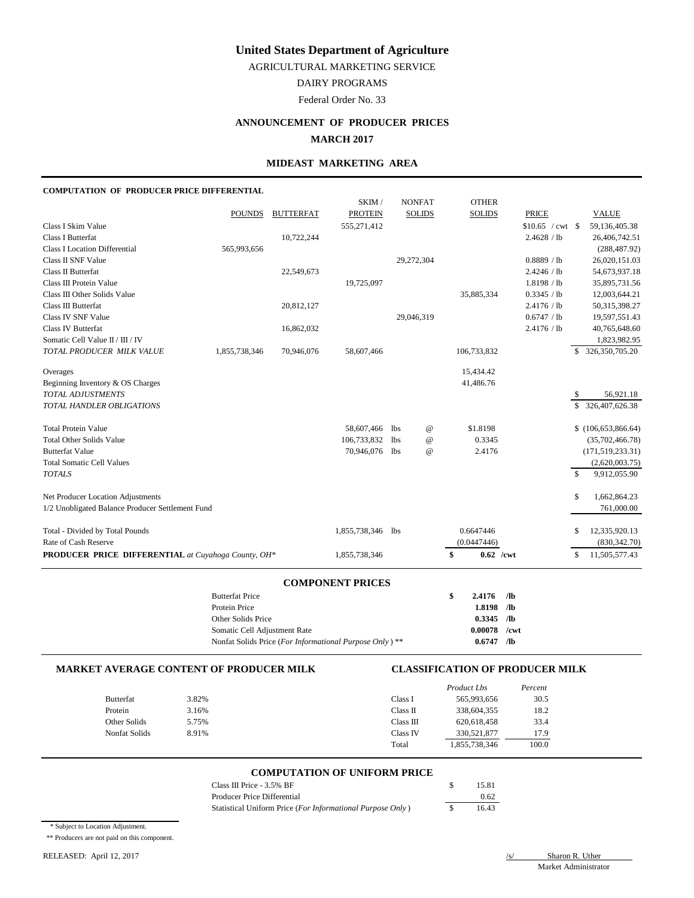AGRICULTURAL MARKETING SERVICE

DAIRY PROGRAMS

Federal Order No. 33

## **ANNOUNCEMENT OF PRODUCER PRICES**

## **MARCH 2017**

### **MIDEAST MARKETING AREA**

### **COMPUTATION OF PRODUCER PRICE DIFFERENTIAL**

|                                                     |               |                  | SKIM/          |            | <b>NONFAT</b>   | <b>OTHER</b>      |                     |              |                                      |
|-----------------------------------------------------|---------------|------------------|----------------|------------|-----------------|-------------------|---------------------|--------------|--------------------------------------|
|                                                     | <b>POUNDS</b> | <b>BUTTERFAT</b> | <b>PROTEIN</b> |            | <b>SOLIDS</b>   | <b>SOLIDS</b>     | <b>PRICE</b>        |              | <b>VALUE</b>                         |
| Class I Skim Value                                  |               |                  | 555,271,412    |            |                 |                   | $$10.65$ / cwt \ \$ |              | 59,136,405.38                        |
| <b>Class I Butterfat</b>                            |               | 10,722,244       |                |            |                 |                   | 2.4628 / lb         |              | 26,406,742.51                        |
| <b>Class I Location Differential</b>                | 565,993,656   |                  |                |            |                 |                   |                     |              | (288, 487.92)                        |
| Class II SNF Value                                  |               |                  |                |            | 29,272,304      |                   | 0.8889 / lb         |              | 26,020,151.03                        |
| Class II Butterfat                                  |               | 22,549,673       |                |            |                 |                   | 2.4246 / lb         |              | 54,673,937.18                        |
| Class III Protein Value                             |               |                  | 19,725,097     |            |                 |                   | 1.8198 / lb         |              | 35,895,731.56                        |
| Class III Other Solids Value                        |               |                  |                |            |                 | 35,885,334        | 0.3345 / lb         |              | 12,003,644.21                        |
| Class III Butterfat                                 |               | 20,812,127       |                |            |                 |                   | 2.4176 / lb         |              | 50,315,398.27                        |
| Class IV SNF Value                                  |               |                  |                |            | 29,046,319      |                   | 0.6747 / lb         |              | 19,597,551.43                        |
| <b>Class IV Butterfat</b>                           |               | 16,862,032       |                |            |                 |                   | 2.4176 / lb         |              | 40,765,648.60                        |
| Somatic Cell Value II / III / IV                    |               |                  |                |            |                 |                   |                     |              | 1,823,982.95                         |
| TOTAL PRODUCER MILK VALUE                           | 1,855,738,346 | 70,946,076       | 58,607,466     |            |                 | 106,733,832       |                     | \$.          | 326, 350, 705. 20                    |
| Overages                                            |               |                  |                |            |                 | 15,434.42         |                     |              |                                      |
| Beginning Inventory & OS Charges                    |               |                  |                |            |                 | 41,486.76         |                     |              |                                      |
| <b>TOTAL ADJUSTMENTS</b>                            |               |                  |                |            |                 |                   |                     | S            | 56.921.18                            |
| TOTAL HANDLER OBLIGATIONS                           |               |                  |                |            |                 |                   |                     | \$           | 326,407,626.38                       |
| <b>Total Protein Value</b>                          |               |                  | 58,607,466     |            |                 | \$1.8198          |                     |              | \$(106,653,866.64)                   |
| <b>Total Other Solids Value</b>                     |               |                  | 106,733,832    | lbs<br>lbs | $^{\copyright}$ | 0.3345            |                     |              |                                      |
| <b>Butterfat Value</b>                              |               |                  | 70,946,076     | lbs        | $^{\copyright}$ | 2.4176            |                     |              | (35,702,466.78)                      |
| <b>Total Somatic Cell Values</b>                    |               |                  |                |            | $^{\copyright}$ |                   |                     |              | (171, 519, 233.31)<br>(2,620,003.75) |
| <b>TOTALS</b>                                       |               |                  |                |            |                 |                   |                     | $\mathbb{S}$ | 9,912,055.90                         |
|                                                     |               |                  |                |            |                 |                   |                     |              |                                      |
| Net Producer Location Adjustments                   |               |                  |                |            |                 |                   |                     | $\mathbb{S}$ | 1,662,864.23                         |
| 1/2 Unobligated Balance Producer Settlement Fund    |               |                  |                |            |                 |                   |                     |              | 761,000.00                           |
| Total - Divided by Total Pounds                     |               |                  | 1,855,738,346  | lbs        |                 | 0.6647446         |                     | \$           | 12,335,920.13                        |
| Rate of Cash Reserve                                |               |                  |                |            |                 | (0.0447446)       |                     |              | (830, 342.70)                        |
| PRODUCER PRICE DIFFERENTIAL at Cuyahoga County, OH* |               |                  | 1,855,738,346  |            |                 | \$<br>$0.62$ /cwt |                     | \$           | 11,505,577.43                        |
|                                                     |               |                  |                |            |                 |                   |                     |              |                                      |

#### **COMPONENT PRICES**

| <b>Butterfat Price</b>                                             | \$<br>$2.4176$ /lb |    |
|--------------------------------------------------------------------|--------------------|----|
| Protein Price                                                      | $1.8198$ /lb       |    |
| Other Solids Price                                                 | $0.3345$ /lb       |    |
| Somatic Cell Adjustment Rate                                       | $0.00078$ /cwt     |    |
| Nonfat Solids Price (For Informational Purpose Only) <sup>**</sup> | 0.6747             | Лb |

#### **MARKET AVERAGE CONTENT OF PRODUCER MILK CLASSIFICATION OF PRODUCER MILK**

|                  |       |           | <b>Product Lbs</b> | Percent |
|------------------|-------|-----------|--------------------|---------|
| <b>Butterfat</b> | 3.82% | Class I   | 565,993,656        | 30.5    |
| Protein          | 3.16% | Class II  | 338,604,355        | 18.2    |
| Other Solids     | 5.75% | Class III | 620.618.458        | 33.4    |
| Nonfat Solids    | 8.91% | Class IV  | 330,521,877        | 17.9    |
|                  |       | Total     | 1.855.738.346      | 100.0   |

#### **COMPUTATION OF UNIFORM PRICE**

| Class III Price $-3.5\%$ BF                                | 15.81 |
|------------------------------------------------------------|-------|
| Producer Price Differential                                | 0.62  |
| Statistical Uniform Price (For Informational Purpose Only) | 16.43 |

\* Subject to Location Adjustment.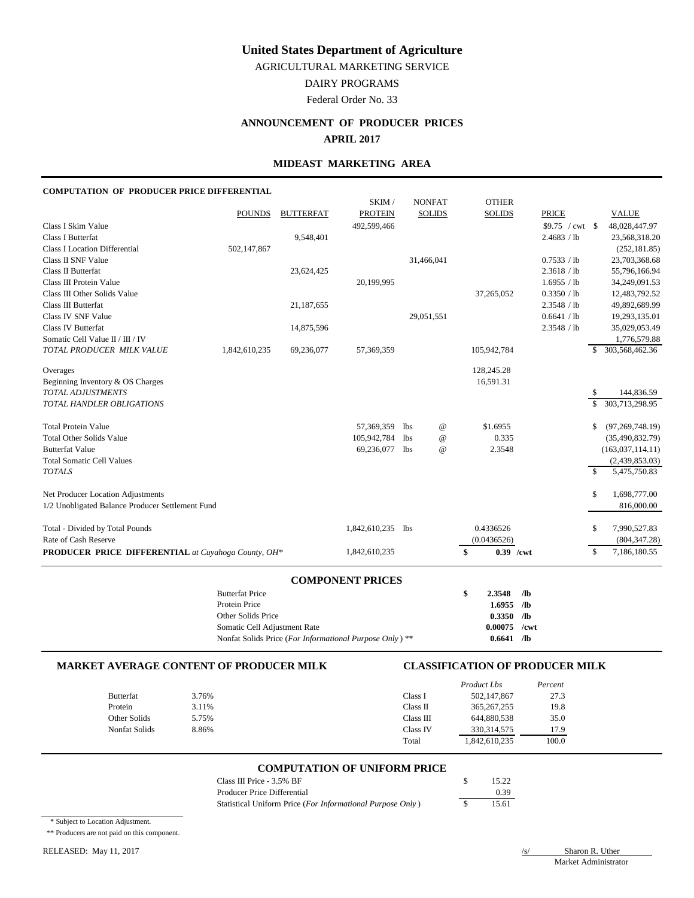AGRICULTURAL MARKETING SERVICE

DAIRY PROGRAMS

Federal Order No. 33

# **ANNOUNCEMENT OF PRODUCER PRICES**

## **APRIL 2017**

## **MIDEAST MARKETING AREA**

## **COMPUTATION OF PRODUCER PRICE DIFFERENTIAL**

|                                                     |               |                  | <b>COMPONENT PRICES</b> |            |                           |             |               |                            |              |                                |
|-----------------------------------------------------|---------------|------------------|-------------------------|------------|---------------------------|-------------|---------------|----------------------------|--------------|--------------------------------|
| PRODUCER PRICE DIFFERENTIAL at Cuyahoga County, OH* |               |                  | 1,842,610,235           |            |                           | \$          | $0.39$ /cwt   |                            | -\$          | 7,186,180.55                   |
| Rate of Cash Reserve                                |               |                  |                         |            |                           | (0.0436526) |               |                            |              | (804, 347.28)                  |
| Total - Divided by Total Pounds                     |               |                  | 1,842,610,235 lbs       |            |                           | 0.4336526   |               |                            | \$           | 7,990,527.83                   |
| 1/2 Unobligated Balance Producer Settlement Fund    |               |                  |                         |            |                           |             |               |                            |              | 816,000.00                     |
| Net Producer Location Adjustments                   |               |                  |                         |            |                           |             |               |                            | \$           | 1,698,777.00                   |
|                                                     |               |                  |                         |            |                           |             |               |                            |              |                                |
| <b>Total Somatic Cell Values</b><br><b>TOTALS</b>   |               |                  |                         |            |                           |             |               |                            | $\mathbf{s}$ | (2,439,853.03)<br>5,475,750.83 |
| <b>Butterfat Value</b>                              |               |                  | 69,236,077 lbs          |            | $^{\copyright}$           |             | 2.3548        |                            |              | (163, 037, 114.11)             |
| <b>Total Other Solids Value</b>                     |               |                  | 105,942,784             | <b>lbs</b> | $^\text{\textregistered}$ |             | 0.335         |                            |              | (35, 490, 832.79)              |
| <b>Total Protein Value</b>                          |               |                  | 57,369,359              | lbs        | $^{\copyright}$           |             | \$1.6955      |                            | \$           | (97, 269, 748.19)              |
| TOTAL HANDLER OBLIGATIONS                           |               |                  |                         |            |                           |             |               |                            | \$           | 303,713,298.95                 |
| <b>TOTAL ADJUSTMENTS</b>                            |               |                  |                         |            |                           |             |               |                            | \$           | 144,836.59                     |
| Beginning Inventory & OS Charges                    |               |                  |                         |            |                           | 16,591.31   |               |                            |              |                                |
| Overages                                            |               |                  |                         |            |                           | 128,245.28  |               |                            |              |                                |
| TOTAL PRODUCER MILK VALUE                           | 1,842,610,235 | 69,236,077       | 57,369,359              |            |                           | 105,942,784 |               |                            | S.           | 303,568,462.36                 |
| Somatic Cell Value II / III / IV                    |               | 14,875,596       |                         |            |                           |             |               |                            |              | 35,029,053.49<br>1,776,579.88  |
| Class IV Butterfat                                  |               |                  |                         |            |                           |             |               | 2.3548 / lb                |              | 19,293,135.01                  |
| Class III Butterfat<br>Class IV SNF Value           |               | 21,187,655       |                         |            | 29,051,551                |             |               | 2.3548 / lb<br>0.6641 / lb |              | 49,892,689.99                  |
| Class III Other Solids Value                        |               |                  |                         |            |                           |             | 37,265,052    | 0.3350 / lb                |              | 12,483,792.52                  |
| Class III Protein Value                             |               |                  | 20,199,995              |            |                           |             |               | 1.6955 / lb                |              | 34,249,091.53                  |
| Class II Butterfat                                  |               | 23,624,425       |                         |            |                           |             |               | 2.3618 / lb                |              | 55,796,166.94                  |
| Class II SNF Value                                  |               |                  |                         |            | 31,466,041                |             |               | 0.7533 / lb                |              | 23,703,368.68                  |
| <b>Class I Location Differential</b>                | 502,147,867   |                  |                         |            |                           |             |               |                            |              | (252, 181.85)                  |
| <b>Class I Butterfat</b>                            |               | 9,548,401        |                         |            |                           |             |               | 2.4683 / lb                |              | 23,568,318.20                  |
| Class I Skim Value                                  |               |                  | 492,599,466             |            |                           |             |               | \$9.75 / $cwt$ \$          |              | 48,028,447.97                  |
|                                                     | <b>POUNDS</b> | <b>BUTTERFAT</b> | <b>PROTEIN</b>          |            | <b>SOLIDS</b>             |             | <b>SOLIDS</b> | <b>PRICE</b>               |              | <b>VALUE</b>                   |
|                                                     |               |                  | SKIM/                   |            | <b>NONFAT</b>             |             | <b>OTHER</b>  |                            |              |                                |

| <b>Butterfat Price</b>                                  | S | 2.3548         | - /lb |
|---------------------------------------------------------|---|----------------|-------|
| Protein Price                                           |   | $1.6955$ /lb   |       |
| Other Solids Price                                      |   | $0.3350$ /lb   |       |
| Somatic Cell Adjustment Rate                            |   | $0.00075$ /cwt |       |
| Nonfat Solids Price (For Informational Purpose Only) ** |   | $0.6641$ /lb   |       |

## **MARKET AVERAGE CONTENT OF PRODUCER MILK CLASSIFICATION OF PRODUCER MILK**

|               |       | Product Lbs<br>Percent            |
|---------------|-------|-----------------------------------|
| Butterfat     | 3.76% | 27.3<br>Class I<br>502,147,867    |
| Protein       | 3.11% | 365, 267, 255<br>19.8<br>Class II |
| Other Solids  | 5.75% | 644,880,538<br>35.0<br>Class III  |
| Nonfat Solids | 8.86% | 330, 314, 575<br>17.9<br>Class IV |
|               |       | 100.0<br>1,842,610,235<br>Total   |
|               |       |                                   |

#### **COMPUTATION OF UNIFORM PRICE**

| Class III Price - 3.5% BF                                  | 15.22 |
|------------------------------------------------------------|-------|
| Producer Price Differential                                | 0.39  |
| Statistical Uniform Price (For Informational Purpose Only) | 15.61 |

\* Subject to Location Adjustment.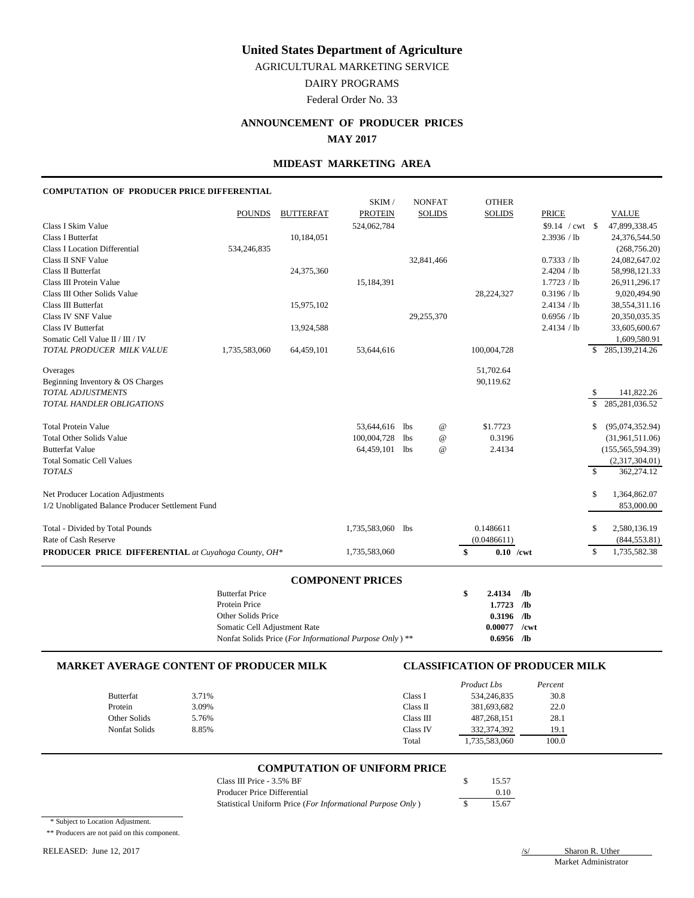AGRICULTURAL MARKETING SERVICE

DAIRY PROGRAMS

Federal Order No. 33

## **ANNOUNCEMENT OF PRODUCER PRICES**

## **MAY 2017**

## **MIDEAST MARKETING AREA**

## **COMPUTATION OF PRODUCER PRICE DIFFERENTIAL**

| Rate of Cash Reserve                             |               |                  |                   |            |                           | (0.0486611)   |                            |             | (844, 553.81)                  |
|--------------------------------------------------|---------------|------------------|-------------------|------------|---------------------------|---------------|----------------------------|-------------|--------------------------------|
| Total - Divided by Total Pounds                  |               |                  | 1,735,583,060 lbs |            |                           | 0.1486611     |                            | \$          | 2,580,136.19                   |
| 1/2 Unobligated Balance Producer Settlement Fund |               |                  |                   |            |                           |               |                            |             | 853,000.00                     |
| Net Producer Location Adjustments                |               |                  |                   |            |                           |               |                            | \$          | 1,364,862.07                   |
| <b>TOTALS</b>                                    |               |                  |                   |            |                           |               |                            | $\mathbf S$ | 362,274.12                     |
| <b>Total Somatic Cell Values</b>                 |               |                  |                   |            |                           |               |                            |             | (2,317,304.01)                 |
| <b>Butterfat Value</b>                           |               |                  | 64,459,101 lbs    |            | $^{\copyright}$           | 2.4134        |                            |             | (155, 565, 594.39)             |
| <b>Total Other Solids Value</b>                  |               |                  | 100,004,728       | <b>lbs</b> | $^\text{\textregistered}$ | 0.3196        |                            |             | (31,961,511.06)                |
| <b>Total Protein Value</b>                       |               |                  | 53,644,616        | <b>lbs</b> | $^{\copyright}$           | \$1.7723      |                            | \$          | (95,074,352.94)                |
| TOTAL HANDLER OBLIGATIONS                        |               |                  |                   |            |                           |               |                            | \$          | 285, 281, 036.52               |
| <b>TOTAL ADJUSTMENTS</b>                         |               |                  |                   |            |                           |               |                            | \$          | 141,822.26                     |
| Beginning Inventory & OS Charges                 |               |                  |                   |            |                           | 90,119.62     |                            |             |                                |
| Overages                                         |               |                  |                   |            |                           | 51,702.64     |                            |             |                                |
| TOTAL PRODUCER MILK VALUE                        | 1,735,583,060 | 64,459,101       | 53,644,616        |            |                           | 100,004,728   |                            | S.          | 285, 139, 214. 26              |
| Somatic Cell Value II / III / IV                 |               |                  |                   |            |                           |               |                            |             | 1,609,580.91                   |
| Class IV Butterfat                               |               | 13,924,588       |                   |            | 29,255,370                |               | 2.4134 / lb                |             | 20,350,035.35<br>33,605,600.67 |
| Class III Butterfat<br>Class IV SNF Value        |               | 15,975,102       |                   |            |                           |               | 2.4134 / lb<br>0.6956 / lb |             | 38,554,311.16                  |
| Class III Other Solids Value                     |               |                  |                   |            |                           | 28,224,327    | 0.3196 / lb                |             | 9,020,494.90                   |
| Class III Protein Value                          |               |                  | 15,184,391        |            |                           |               | 1.7723 / lb                |             | 26,911,296.17                  |
| Class II Butterfat                               |               | 24,375,360       |                   |            |                           |               | 2.4204 / lb                |             | 58,998,121.33                  |
| Class II SNF Value                               |               |                  |                   |            | 32,841,466                |               | 0.7333 / lb                |             | 24,082,647.02                  |
| <b>Class I Location Differential</b>             | 534,246,835   |                  |                   |            |                           |               |                            |             | (268, 756.20)                  |
| <b>Class I Butterfat</b>                         |               | 10,184,051       |                   |            |                           |               | 2.3936 / lb                |             | 24,376,544.50                  |
| Class I Skim Value                               |               |                  | 524,062,784       |            |                           |               |                            |             | 47,899,338.45                  |
|                                                  | <b>POUNDS</b> | <b>BUTTERFAT</b> | <b>PROTEIN</b>    |            | <b>SOLIDS</b>             | <b>SOLIDS</b> | <b>PRICE</b>               |             | <b>VALUE</b>                   |
|                                                  |               |                  | SKIM/             |            | <b>NONFAT</b>             | <b>OTHER</b>  |                            |             |                                |

| <b>Butterfat Price</b>                                  | 2.4134         | - /lb |  |
|---------------------------------------------------------|----------------|-------|--|
| Protein Price                                           | $1.7723$ /lb   |       |  |
| Other Solids Price                                      | $0.3196$ /lb   |       |  |
| Somatic Cell Adjustment Rate                            | $0.00077$ /cwt |       |  |
| Nonfat Solids Price (For Informational Purpose Only) ** | $0.6956$ /lb   |       |  |

## **MARKET AVERAGE CONTENT OF PRODUCER MILK CLASSIFICATION OF PRODUCER MILK**

|                  |       |           | Product Lbs   | Percent |
|------------------|-------|-----------|---------------|---------|
| <b>Butterfat</b> | 3.71% | Class I   | 534,246,835   | 30.8    |
| Protein          | 3.09% | Class II  | 381,693,682   | 22.0    |
| Other Solids     | 5.76% | Class III | 487,268,151   | 28.1    |
| Nonfat Solids    | 8.85% | Class IV  | 332, 374, 392 | 19.1    |
|                  |       | Total     | 1,735,583,060 | 100.0   |
|                  |       |           |               |         |

### **COMPUTATION OF UNIFORM PRICE**

| Class III Price $-3.5\%$ BF                                | 15.57 |
|------------------------------------------------------------|-------|
| Producer Price Differential                                | 0.10  |
| Statistical Uniform Price (For Informational Purpose Only) | 15.67 |

\* Subject to Location Adjustment.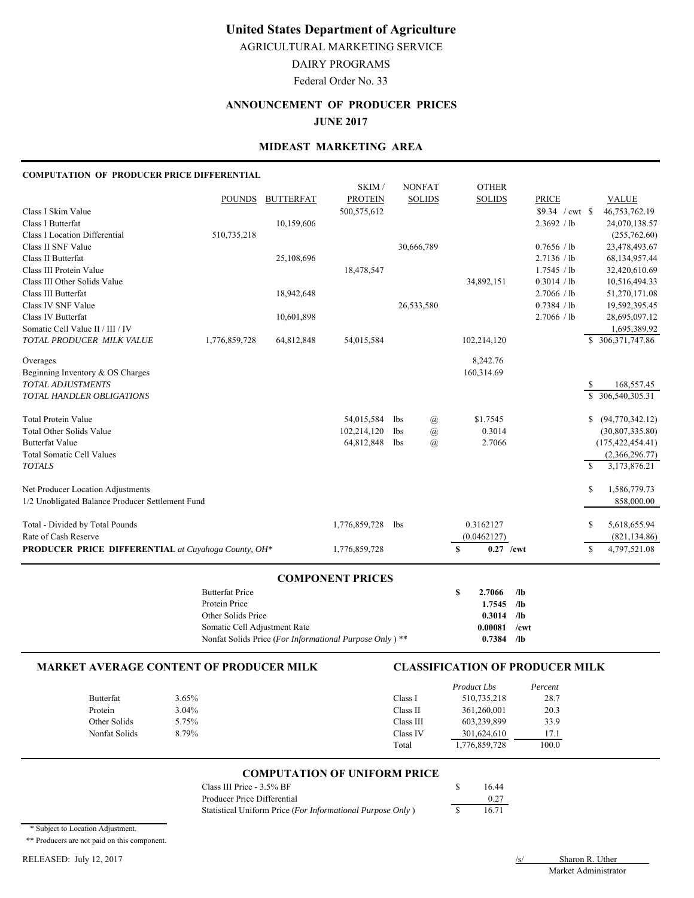AGRICULTURAL MARKETING SERVICE

DAIRY PROGRAMS

Federal Order No. 33

### **ANNOUNCEMENT OF PRODUCER PRICES**

### **JUNE 2017**

## **MIDEAST MARKETING AREA**

## **COMPUTATION OF PRODUCER PRICE DIFFERENTIAL**

|                                                                                       |               |                  | <b>COMPONENT PRICES</b>   |                   |                                |                          |                            |                    |                                    |
|---------------------------------------------------------------------------------------|---------------|------------------|---------------------------|-------------------|--------------------------------|--------------------------|----------------------------|--------------------|------------------------------------|
| PRODUCER PRICE DIFFERENTIAL at Cuyahoga County, OH*                                   |               |                  | 1,776,859,728             |                   |                                | \$                       | $0.27$ /cwt                | \$                 | 4,797,521.08                       |
| Total - Divided by Total Pounds<br>Rate of Cash Reserve                               |               |                  | 1,776,859,728             | 1bs               |                                | 0.3162127<br>(0.0462127) |                            | \$                 | 5,618,655.94<br>(821, 134.86)      |
| Net Producer Location Adjustments<br>1/2 Unobligated Balance Producer Settlement Fund |               |                  |                           |                   |                                |                          |                            | S                  | 1,586,779.73<br>858,000.00         |
| <b>TOTALS</b>                                                                         |               |                  |                           |                   |                                |                          |                            | $\mathbf{\hat{s}}$ | 3,173,876.21                       |
| <b>Total Somatic Cell Values</b>                                                      |               |                  |                           |                   |                                |                          |                            |                    | (2,366,296.77)                     |
| <b>Butterfat Value</b>                                                                |               |                  | 64,812,848                | <b>lbs</b>        | $\mathcal{a}$                  | 2.7066                   |                            |                    | (175, 422, 454.41)                 |
| <b>Total Protein Value</b><br>Total Other Solids Value                                |               |                  | 54,015,584<br>102,214,120 | <b>lbs</b><br>lbs | @<br>$^\text{\textregistered}$ | \$1.7545<br>0.3014       |                            | \$                 | (94,770,342.12)<br>(30,807,335.80) |
| TOTAL HANDLER OBLIGATIONS                                                             |               |                  |                           |                   |                                |                          |                            |                    | \$ 306,540,305.31                  |
| Beginning Inventory & OS Charges<br><b>TOTAL ADJUSTMENTS</b>                          |               |                  |                           |                   |                                | 160,314.69               |                            | -S                 | 168,557.45                         |
| Overages                                                                              |               |                  |                           |                   |                                | 8,242.76                 |                            |                    |                                    |
| Somatic Cell Value II / III / IV<br>TOTAL PRODUCER MILK VALUE                         | 1,776,859,728 | 64,812,848       | 54,015,584                |                   |                                | 102,214,120              |                            |                    | 1,695,389.92<br>\$ 306,371,747.86  |
| Class IV Butterfat                                                                    |               | 10,601,898       |                           |                   |                                |                          | 2.7066 / lb                |                    | 28,695,097.12                      |
| Class IV SNF Value                                                                    |               |                  |                           |                   | 26,533,580                     |                          | 0.7384 / lb                |                    | 19,592,395.45                      |
| Class III Other Solids Value<br>Class III Butterfat                                   |               | 18,942,648       |                           |                   |                                | 34,892,151               | 0.3014 / lb<br>2.7066 / lb |                    | 10,516,494.33<br>51,270,171.08     |
| Class III Protein Value                                                               |               |                  | 18,478,547                |                   |                                |                          | 1.7545 / lb                |                    | 32,420,610.69                      |
| Class II Butterfat                                                                    |               | 25,108,696       |                           |                   |                                |                          | 2.7136 / lb                |                    | 68,134,957.44                      |
| Class II SNF Value                                                                    |               |                  |                           |                   | 30,666,789                     |                          | 0.7656 / lb                |                    | 23,478,493.67                      |
| Class I Butterfat<br>Class I Location Differential                                    | 510,735,218   | 10,159,606       |                           |                   |                                |                          | 2.3692 / lb                |                    | 24,070,138.57<br>(255,762.60)      |
| Class I Skim Value                                                                    |               |                  | 500,575,612               |                   |                                |                          | $$9.34$ / cwt \\$          |                    | 46,753,762.19                      |
|                                                                                       | <b>POUNDS</b> | <b>BUTTERFAT</b> | <b>PROTEIN</b>            |                   | <b>SOLIDS</b>                  | <b>SOLIDS</b>            | PRICE                      |                    | <b>VALUE</b>                       |
|                                                                                       |               |                  | SKIM/                     |                   | <b>NONFAT</b>                  | <b>OTHER</b>             |                            |                    |                                    |

| <b>Butterfat Price</b>                                             | $2.7066$ /lb   |     |  |
|--------------------------------------------------------------------|----------------|-----|--|
| Protein Price                                                      | $1.7545$ /lb   |     |  |
| Other Solids Price                                                 | $0.3014$ /lb   |     |  |
| Somatic Cell Adjustment Rate                                       | $0.00081$ /cwt |     |  |
| Nonfat Solids Price (For Informational Purpose Only) <sup>**</sup> | 0.7384         | /lb |  |

## **MARKET AVERAGE CONTENT OF PRODUCER MILK CLASSIFICATION OF PRODUCER MILK**

|               |          |           | Product Lbs   | Percent |
|---------------|----------|-----------|---------------|---------|
| Butterfat     | $3.65\%$ | Class I   | 510,735,218   | 28.7    |
| Protein       | 3.04%    | Class II  | 361,260,001   | 20.3    |
| Other Solids  | 5.75%    | Class III | 603.239.899   | 33.9    |
| Nonfat Solids | 8.79%    | Class IV  | 301,624,610   | 17.1    |
|               |          | Total     | 1,776,859,728 | 100.0   |

## **COMPUTATION OF UNIFORM PRICE**

| Class III Price - 3.5% BF                                  | 16.44 |
|------------------------------------------------------------|-------|
| Producer Price Differential                                | 0.27  |
| Statistical Uniform Price (For Informational Purpose Only) | 16.71 |

\* Subject to Location Adjustment.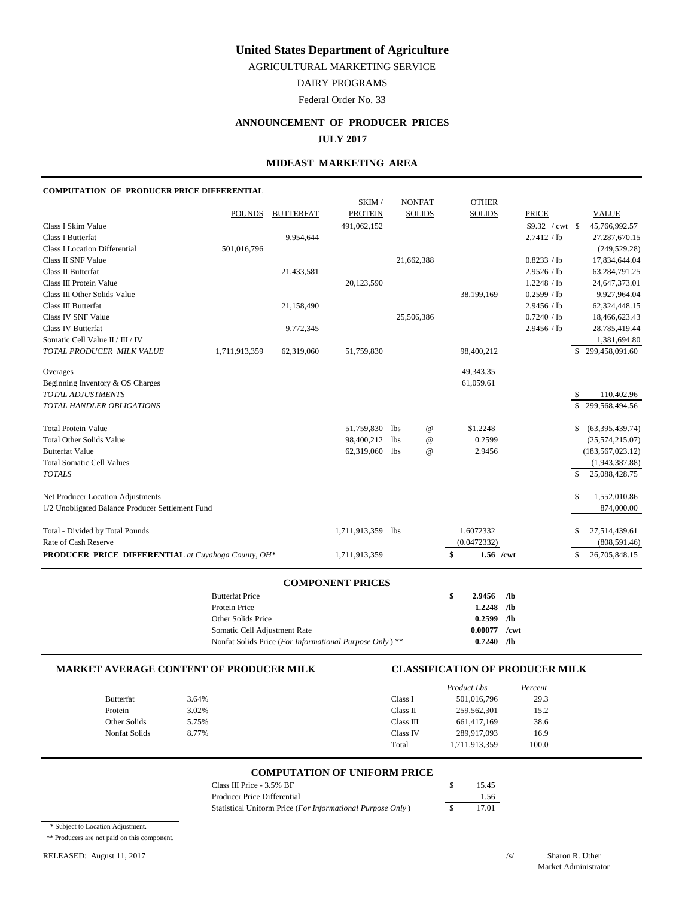AGRICULTURAL MARKETING SERVICE

DAIRY PROGRAMS

Federal Order No. 33

## **ANNOUNCEMENT OF PRODUCER PRICES**

### **JULY 2017**

### **MIDEAST MARKETING AREA**

#### **COMPUTATION OF PRODUCER PRICE DIFFERENTIAL**

|                                                     |               |                  | SKIM/          |     | <b>NONFAT</b>   | <b>OTHER</b>      |                   |                              |
|-----------------------------------------------------|---------------|------------------|----------------|-----|-----------------|-------------------|-------------------|------------------------------|
|                                                     | <b>POUNDS</b> | <b>BUTTERFAT</b> | <b>PROTEIN</b> |     | <b>SOLIDS</b>   | <b>SOLIDS</b>     | <b>PRICE</b>      | <b>VALUE</b>                 |
| Class I Skim Value                                  |               |                  | 491,062,152    |     |                 |                   | $$9.32$ / cwt \\$ | 45,766,992.57                |
| Class I Butterfat                                   |               | 9,954,644        |                |     |                 |                   | 2.7412 / lb       | 27, 287, 670. 15             |
| <b>Class I Location Differential</b>                | 501,016,796   |                  |                |     |                 |                   |                   | (249, 529.28)                |
| <b>Class II SNF Value</b>                           |               |                  |                |     | 21,662,388      |                   | 0.8233 / lb       | 17,834,644.04                |
| Class II Butterfat                                  |               | 21,433,581       |                |     |                 |                   | 2.9526 / lb       | 63,284,791.25                |
| Class III Protein Value                             |               |                  | 20,123,590     |     |                 |                   | 1.2248 / lb       | 24,647,373.01                |
| Class III Other Solids Value                        |               |                  |                |     |                 | 38,199,169        | 0.2599 / lb       | 9,927,964.04                 |
| Class III Butterfat                                 |               | 21,158,490       |                |     |                 |                   | 2.9456 / lb       | 62,324,448.15                |
| Class IV SNF Value                                  |               |                  |                |     | 25,506,386      |                   | 0.7240 / lb       | 18,466,623.43                |
| <b>Class IV Butterfat</b>                           |               | 9,772,345        |                |     |                 |                   | 2.9456 / lb       | 28,785,419.44                |
| Somatic Cell Value II / III / IV                    |               |                  |                |     |                 |                   |                   | 1,381,694.80                 |
| TOTAL PRODUCER MILK VALUE                           | 1,711,913,359 | 62,319,060       | 51,759,830     |     |                 | 98,400,212        |                   | 299,458,091.60               |
| Overages                                            |               |                  |                |     |                 | 49,343.35         |                   |                              |
| Beginning Inventory & OS Charges                    |               |                  |                |     |                 | 61,059.61         |                   |                              |
| <b>TOTAL ADJUSTMENTS</b>                            |               |                  |                |     |                 |                   |                   | 110,402.96<br>\$             |
| TOTAL HANDLER OBLIGATIONS                           |               |                  |                |     |                 |                   |                   | 299,568,494.56               |
| <b>Total Protein Value</b>                          |               |                  | 51,759,830     | lbs | $^{\copyright}$ | \$1.2248          |                   | \$<br>(63, 395, 439.74)      |
| <b>Total Other Solids Value</b>                     |               |                  | 98,400,212     | lbs | $^{\copyright}$ | 0.2599            |                   | (25,574,215.07)              |
| <b>Butterfat Value</b>                              |               |                  | 62,319,060     | lbs | $\circleda$     | 2.9456            |                   | (183, 567, 023.12)           |
| <b>Total Somatic Cell Values</b>                    |               |                  |                |     |                 |                   |                   | (1,943,387.88)               |
| <b>TOTALS</b>                                       |               |                  |                |     |                 |                   |                   | \$<br>25,088,428.75          |
| Net Producer Location Adjustments                   |               |                  |                |     |                 |                   |                   | $\mathbb{S}$<br>1,552,010.86 |
| 1/2 Unobligated Balance Producer Settlement Fund    |               |                  |                |     |                 |                   |                   | 874,000.00                   |
|                                                     |               |                  |                |     |                 |                   |                   |                              |
| Total - Divided by Total Pounds                     |               |                  | 1,711,913,359  | lbs |                 | 1.6072332         |                   | 27,514,439.61<br>\$          |
| Rate of Cash Reserve                                |               |                  |                |     |                 | (0.0472332)       |                   | (808, 591.46)                |
| PRODUCER PRICE DIFFERENTIAL at Cuyahoga County, OH* |               |                  | 1,711,913,359  |     |                 | $1.56$ /cwt<br>\$ |                   | \$<br>26,705,848.15          |

#### **COMPONENT PRICES**

| <b>Butterfat Price</b>                                             | \$. | $2.9456$ /lb   |    |
|--------------------------------------------------------------------|-----|----------------|----|
| Protein Price                                                      |     | $1.2248$ /lb   |    |
| Other Solids Price                                                 |     | $0.2599$ /lb   |    |
| Somatic Cell Adjustment Rate                                       |     | $0.00077$ /cwt |    |
| Nonfat Solids Price (For Informational Purpose Only) <sup>**</sup> |     | 0.7240         | Лb |

### **MARKET AVERAGE CONTENT OF PRODUCER MILK CLASSIFICATION OF PRODUCER MILK**

|                  |       |           | Product Lbs   | Percent |
|------------------|-------|-----------|---------------|---------|
| <b>Butterfat</b> | 3.64% | Class I   | 501,016,796   | 29.3    |
| Protein          | 3.02% | Class II  | 259,562,301   | 15.2    |
| Other Solids     | 5.75% | Class III | 661,417,169   | 38.6    |
| Nonfat Solids    | 8.77% | Class IV  | 289,917,093   | 16.9    |
|                  |       | Total     | 1.711.913.359 | 100.0   |

#### **COMPUTATION OF UNIFORM PRICE**

| Class III Price $-3.5\%$ BF                                | 15.45 |
|------------------------------------------------------------|-------|
| Producer Price Differential                                | 1.56  |
| Statistical Uniform Price (For Informational Purpose Only) | 17.01 |

\* Subject to Location Adjustment.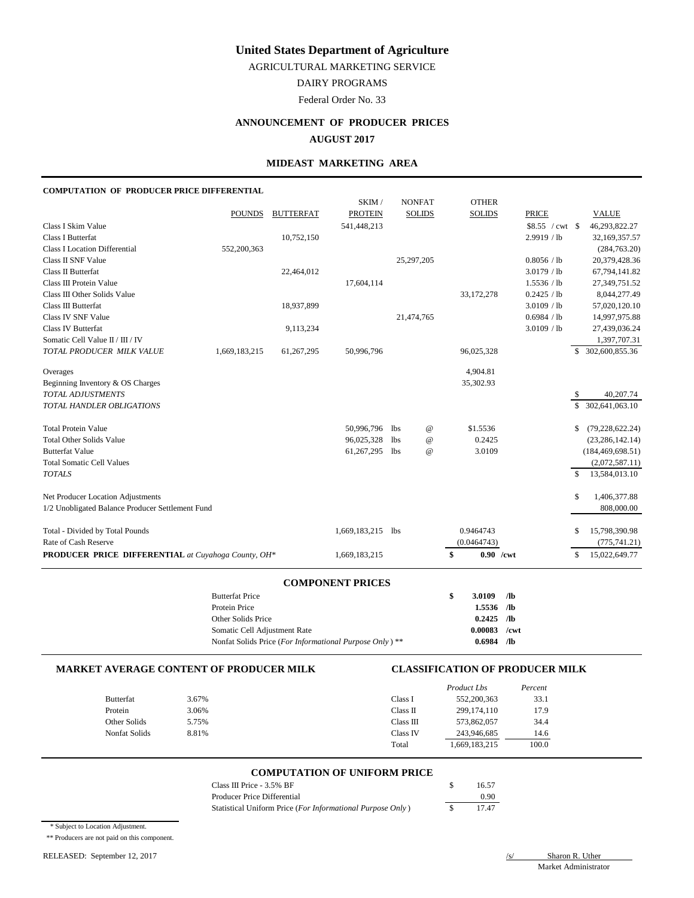AGRICULTURAL MARKETING SERVICE

DAIRY PROGRAMS

Federal Order No. 33

## **ANNOUNCEMENT OF PRODUCER PRICES**

### **AUGUST 2017**

### **MIDEAST MARKETING AREA**

### **COMPUTATION OF PRODUCER PRICE DIFFERENTIAL**

|                                                     |               |                  | SKIM/          |            | <b>NONFAT</b>   | <b>OTHER</b>      |                         |               |                    |
|-----------------------------------------------------|---------------|------------------|----------------|------------|-----------------|-------------------|-------------------------|---------------|--------------------|
|                                                     | <b>POUNDS</b> | <b>BUTTERFAT</b> | <b>PROTEIN</b> |            | <b>SOLIDS</b>   | <b>SOLIDS</b>     | <b>PRICE</b>            |               | <b>VALUE</b>       |
| Class I Skim Value                                  |               |                  | 541,448,213    |            |                 |                   | $$8.55 / \text{cwt}$ \$ |               | 46,293,822.27      |
| <b>Class I Butterfat</b>                            |               | 10,752,150       |                |            |                 |                   | 2.9919 / lb             |               | 32,169,357.57      |
| <b>Class I Location Differential</b>                | 552,200,363   |                  |                |            |                 |                   |                         |               | (284, 763.20)      |
| Class II SNF Value                                  |               |                  |                |            | 25,297,205      |                   | 0.8056 / lb             |               | 20,379,428.36      |
| Class II Butterfat                                  |               | 22,464,012       |                |            |                 |                   | 3.0179 / lb             |               | 67,794,141.82      |
| Class III Protein Value                             |               |                  | 17,604,114     |            |                 |                   | 1.5536 / lb             |               | 27,349,751.52      |
| Class III Other Solids Value                        |               |                  |                |            |                 | 33,172,278        | 0.2425 / lb             |               | 8,044,277.49       |
| Class III Butterfat                                 |               | 18,937,899       |                |            |                 |                   | 3.0109 / lb             |               | 57,020,120.10      |
| Class IV SNF Value                                  |               |                  |                |            | 21,474,765      |                   | 0.6984 / lb             |               | 14,997,975.88      |
| <b>Class IV Butterfat</b>                           |               | 9,113,234        |                |            |                 |                   | 3.0109 / lb             |               | 27,439,036.24      |
| Somatic Cell Value II / III / IV                    |               |                  |                |            |                 |                   |                         |               | 1,397,707.31       |
| TOTAL PRODUCER MILK VALUE                           | 1,669,183,215 | 61,267,295       | 50,996,796     |            |                 | 96,025,328        |                         |               | 302,600,855.36     |
| Overages                                            |               |                  |                |            |                 | 4,904.81          |                         |               |                    |
| Beginning Inventory & OS Charges                    |               |                  |                |            |                 | 35,302.93         |                         |               |                    |
| <b>TOTAL ADJUSTMENTS</b>                            |               |                  |                |            |                 |                   |                         | <sup>\$</sup> | 40,207.74          |
| TOTAL HANDLER OBLIGATIONS                           |               |                  |                |            |                 |                   |                         | \$            | 302,641,063.10     |
|                                                     |               |                  |                |            |                 |                   |                         |               |                    |
| <b>Total Protein Value</b>                          |               |                  | 50,996,796     | lbs        | $^{\copyright}$ | \$1.5536          |                         | \$            | (79, 228, 622.24)  |
| <b>Total Other Solids Value</b>                     |               |                  | 96,025,328     | <b>lbs</b> | $^{\copyright}$ | 0.2425            |                         |               | (23, 286, 142.14)  |
| <b>Butterfat Value</b>                              |               |                  | 61,267,295     | lbs        | $^{\copyright}$ | 3.0109            |                         |               | (184, 469, 698.51) |
| <b>Total Somatic Cell Values</b>                    |               |                  |                |            |                 |                   |                         |               | (2,072,587.11)     |
| <b>TOTALS</b>                                       |               |                  |                |            |                 |                   |                         | \$            | 13,584,013.10      |
| Net Producer Location Adjustments                   |               |                  |                |            |                 |                   |                         | <sup>\$</sup> | 1,406,377.88       |
| 1/2 Unobligated Balance Producer Settlement Fund    |               |                  |                |            |                 |                   |                         |               | 808,000.00         |
|                                                     |               |                  |                |            |                 |                   |                         |               |                    |
| Total - Divided by Total Pounds                     |               |                  | 1,669,183,215  | lbs        |                 | 0.9464743         |                         | \$            | 15,798,390.98      |
| Rate of Cash Reserve                                |               |                  |                |            |                 | (0.0464743)       |                         |               | (775, 741.21)      |
| PRODUCER PRICE DIFFERENTIAL at Cuyahoga County, OH* |               |                  | 1,669,183,215  |            |                 | \$<br>$0.90$ /cwt |                         | <sup>\$</sup> | 15,022,649.77      |
|                                                     |               |                  |                |            |                 |                   |                         |               |                    |

#### **COMPONENT PRICES**

| <b>Butterfat Price</b>                                             | 3.0109 $\sqrt{16}$ |  |
|--------------------------------------------------------------------|--------------------|--|
| Protein Price                                                      | $1.5536$ /lb       |  |
| Other Solids Price                                                 | $0.2425$ /lb       |  |
| Somatic Cell Adjustment Rate                                       | $0.00083$ /cwt     |  |
| Nonfat Solids Price (For Informational Purpose Only) <sup>**</sup> | $0.6984$ /lb       |  |

#### **MARKET AVERAGE CONTENT OF PRODUCER MILK CLASSIFICATION OF PRODUCER MILK**

|               |       |           | <b>Product Lbs</b> | Percent |
|---------------|-------|-----------|--------------------|---------|
| Butterfat     | 3.67% | Class I   | 552,200,363        | 33.1    |
| Protein       | 3.06% | Class II  | 299.174.110        | 17.9    |
| Other Solids  | 5.75% | Class III | 573,862,057        | 34.4    |
| Nonfat Solids | 8.81% | Class IV  | 243,946,685        | 14.6    |
|               |       | Total     | .669.183.215       | 100.0   |

#### **COMPUTATION OF UNIFORM PRICE**

| Class III Price $-3.5\%$ BF                                | 16.57 |
|------------------------------------------------------------|-------|
| Producer Price Differential                                | 0.90  |
| Statistical Uniform Price (For Informational Purpose Only) | 17.47 |

\* Subject to Location Adjustment.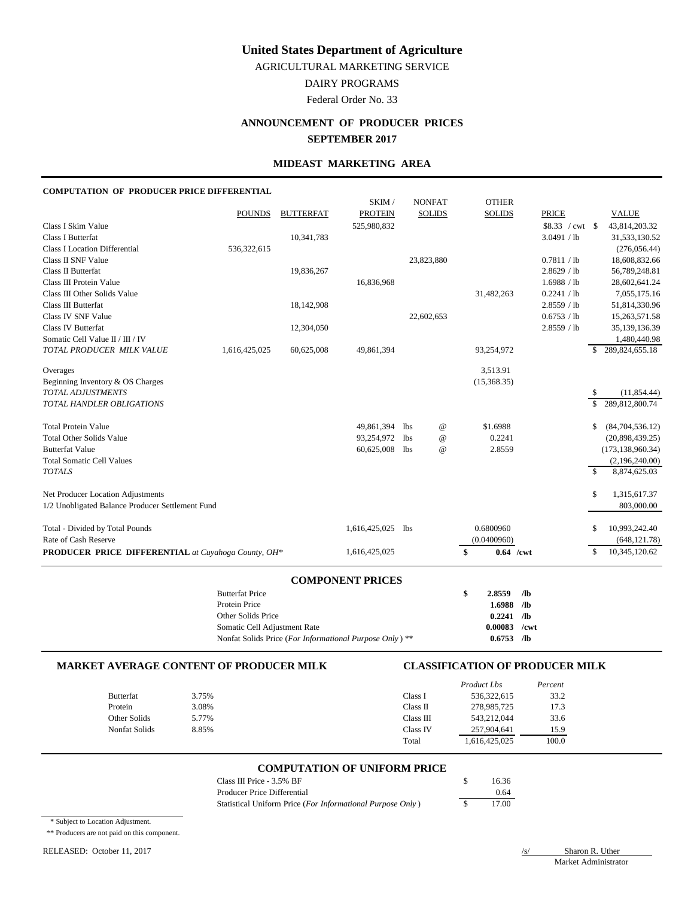AGRICULTURAL MARKETING SERVICE

DAIRY PROGRAMS

Federal Order No. 33

# **ANNOUNCEMENT OF PRODUCER PRICES SEPTEMBER 2017**

## **MIDEAST MARKETING AREA**

### **COMPUTATION OF PRODUCER PRICE DIFFERENTIAL**

| Class I Skim Value<br><b>Class I Butterfat</b>      |               | 10,341,783 | 525,980,832   |            |                 |             |             | 3.0491 / lb |              | 43,814,203.32<br>31,533,130.52 |
|-----------------------------------------------------|---------------|------------|---------------|------------|-----------------|-------------|-------------|-------------|--------------|--------------------------------|
| <b>Class I Location Differential</b>                | 536,322,615   |            |               |            |                 |             |             |             |              | (276,056.44)                   |
| Class II SNF Value                                  |               |            |               |            |                 |             |             | 0.7811 / lb |              | 18,608,832.66                  |
| Class II Butterfat                                  |               | 19,836,267 |               |            | 23,823,880      |             |             | 2.8629 / lb |              | 56,789,248.81                  |
| Class III Protein Value                             |               |            | 16,836,968    |            |                 |             |             | 1.6988 / lb |              | 28,602,641.24                  |
| Class III Other Solids Value                        |               |            |               |            |                 | 31,482,263  |             | 0.2241 / lb |              | 7,055,175.16                   |
| Class III Butterfat                                 |               | 18,142,908 |               |            |                 |             |             | 2.8559 / lb |              | 51,814,330.96                  |
| <b>Class IV SNF Value</b>                           |               |            |               |            | 22,602,653      |             |             | 0.6753 / lb |              | 15,263,571.58                  |
| Class IV Butterfat                                  |               | 12,304,050 |               |            |                 |             |             | 2.8559 / lb |              | 35,139,136.39                  |
| Somatic Cell Value II / III / IV                    |               |            |               |            |                 |             |             |             |              | 1,480,440.98                   |
| TOTAL PRODUCER MILK VALUE                           | 1,616,425,025 | 60,625,008 | 49,861,394    |            |                 | 93,254,972  |             |             | S.           | 289, 824, 655. 18              |
| Overages                                            |               |            |               |            |                 | 3,513.91    |             |             |              |                                |
| Beginning Inventory & OS Charges                    |               |            |               |            |                 | (15,368.35) |             |             |              |                                |
| <b>TOTAL ADJUSTMENTS</b>                            |               |            |               |            |                 |             |             |             | \$           | (11, 854.44)                   |
| TOTAL HANDLER OBLIGATIONS                           |               |            |               |            |                 |             |             |             | \$           | 289,812,800.74                 |
| <b>Total Protein Value</b>                          |               |            | 49,861,394    | 1bs        | $^{\copyright}$ | \$1.6988    |             |             | \$           | (84,704,536.12)                |
| <b>Total Other Solids Value</b>                     |               |            | 93,254,972    | <b>lbs</b> | $^{\circ}$      | 0.2241      |             |             |              | (20,898,439.25)                |
| <b>Butterfat Value</b>                              |               |            | 60,625,008    | <b>lbs</b> | $^{\copyright}$ | 2.8559      |             |             |              | (173, 138, 960.34)             |
| <b>Total Somatic Cell Values</b>                    |               |            |               |            |                 |             |             |             |              | (2,196,240.00)                 |
| <b>TOTALS</b>                                       |               |            |               |            |                 |             |             |             | $\mathbf{s}$ | 8,874,625.03                   |
| Net Producer Location Adjustments                   |               |            |               |            |                 |             |             |             | \$           | 1,315,617.37                   |
| 1/2 Unobligated Balance Producer Settlement Fund    |               |            |               |            |                 |             |             |             |              | 803,000.00                     |
| Total - Divided by Total Pounds                     |               |            | 1,616,425,025 | 1bs        |                 | 0.6800960   |             |             | \$           | 10,993,242.40                  |
| Rate of Cash Reserve                                |               |            |               |            |                 | (0.0400960) |             |             |              | (648, 121.78)                  |
| PRODUCER PRICE DIFFERENTIAL at Cuyahoga County, OH* |               |            | 1,616,425,025 |            |                 | \$          | $0.64$ /cwt |             | \$           | 10,345,120.62                  |

| <b>Butterfat Price</b>                                             | 2.8559         | /lb |
|--------------------------------------------------------------------|----------------|-----|
| Protein Price                                                      | $1.6988$ /lb   |     |
| Other Solids Price                                                 | $0.2241$ /lb   |     |
| Somatic Cell Adjustment Rate                                       | $0.00083$ /cwt |     |
| Nonfat Solids Price (For Informational Purpose Only) <sup>**</sup> | $0.6753$ /lb   |     |

## **MARKET AVERAGE CONTENT OF PRODUCER MILK CLASSIFICATION OF PRODUCER MILK**

|           | Product Lbs   | Percent |
|-----------|---------------|---------|
| Class I   | 536, 322, 615 | 33.2    |
| Class II  | 278,985,725   | 17.3    |
| Class III | 543,212,044   | 33.6    |
| Class IV  | 257,904,641   | 15.9    |
| Total     | 1,616,425,025 | 100.0   |
|           |               |         |

#### **COMPUTATION OF UNIFORM PRICE**

| Class III Price $-3.5\%$ BF                                | 16.36 |
|------------------------------------------------------------|-------|
| Producer Price Differential                                | 0.64  |
| Statistical Uniform Price (For Informational Purpose Only) | 17.00 |

\* Subject to Location Adjustment.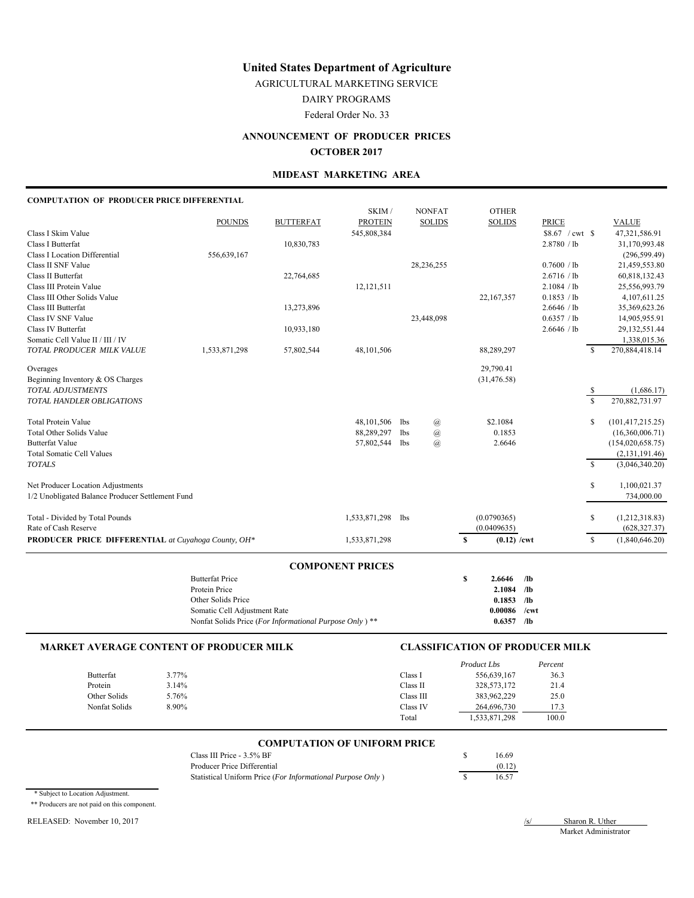AGRICULTURAL MARKETING SERVICE DAIRY PROGRAMS Federal Order No. 33

## **ANNOUNCEMENT OF PRODUCER PRICES OCTOBER 2017**

### **MIDEAST MARKETING AREA**

#### **COMPUTATION OF PRODUCER PRICE DIFFERENTIAL**

| PRODUCER PRICE DIFFERENTIAL at Cuyahoga County, OH*           |               |                  | 1,533,871,298            |                        |                            | S<br>$(0.12)$ /cwt |                            | $\mathbb{S}$  | (1,840,646.20)                      |
|---------------------------------------------------------------|---------------|------------------|--------------------------|------------------------|----------------------------|--------------------|----------------------------|---------------|-------------------------------------|
| Rate of Cash Reserve                                          |               |                  |                          |                        |                            | (0.0409635)        |                            |               | (628, 327.37)                       |
| Total - Divided by Total Pounds                               |               |                  | 1,533,871,298            | lbs                    |                            | (0.0790365)        |                            | S             | (1,212,318.83)                      |
| 1/2 Unobligated Balance Producer Settlement Fund              |               |                  |                          |                        |                            |                    |                            |               | 734,000.00                          |
| Net Producer Location Adjustments                             |               |                  |                          |                        |                            |                    |                            | \$            | 1,100,021.37                        |
|                                                               |               |                  |                          |                        |                            |                    |                            |               |                                     |
| <b>TOTALS</b>                                                 |               |                  |                          |                        |                            |                    |                            | $\mathcal{S}$ | (3,046,340.20)                      |
| <b>Total Somatic Cell Values</b>                              |               |                  |                          |                        | $\left(\widehat{a}\right)$ |                    |                            |               | (2,131,191.46)                      |
| <b>Butterfat Value</b>                                        |               |                  | 88,289,297<br>57,802,544 | <b>lbs</b>             | $^\text{\textregistered}$  | 2.6646             |                            |               | (16,360,006.71)<br>(154,020,658.75) |
| <b>Total Protein Value</b><br><b>Total Other Solids Value</b> |               |                  | 48, 101, 506             | lbs<br>1 <sub>bs</sub> | @                          | \$2.1084<br>0.1853 |                            | \$            | (101, 417, 215.25)                  |
|                                                               |               |                  |                          |                        |                            |                    |                            |               |                                     |
| TOTAL HANDLER OBLIGATIONS                                     |               |                  |                          |                        |                            |                    |                            | <sup>\$</sup> | 270,882,731.97                      |
| <b>TOTAL ADJUSTMENTS</b>                                      |               |                  |                          |                        |                            |                    |                            | \$            | (1,686.17)                          |
| Beginning Inventory & OS Charges                              |               |                  |                          |                        |                            | (31, 476.58)       |                            |               |                                     |
| Overages                                                      |               |                  |                          |                        |                            | 29,790.41          |                            |               |                                     |
| TOTAL PRODUCER MILK VALUE                                     | 1,533,871,298 | 57,802,544       | 48,101,506               |                        |                            | 88,289,297         |                            | -S            | 270,884,418.14                      |
| Somatic Cell Value II / III / IV                              |               |                  |                          |                        |                            |                    |                            |               | 1,338,015.36                        |
| Class IV Butterfat                                            |               | 10,933,180       |                          |                        |                            |                    | 2.6646 / lb                |               | 29,132,551.44                       |
| Class IV SNF Value                                            |               | 13,273,896       |                          |                        | 23,448,098                 |                    | 0.6357 / lb                |               | 35,369,623.26<br>14,905,955.91      |
| Class III Other Solids Value<br>Class III Butterfat           |               |                  |                          |                        |                            | 22,167,357         | 0.1853 / lb<br>2.6646 / lb |               | 4,107,611.25                        |
| Class III Protein Value                                       |               |                  | 12,121,511               |                        |                            |                    | 2.1084 / lb                |               | 25,556,993.79                       |
| Class II Butterfat                                            |               | 22,764,685       |                          |                        |                            |                    | 2.6716 / lb                |               | 60,818,132.43                       |
| Class II SNF Value                                            |               |                  |                          |                        | 28,236,255                 |                    | 0.7600 / lb                |               | 21,459,553.80                       |
| <b>Class I Location Differential</b>                          | 556,639,167   |                  |                          |                        |                            |                    |                            |               | (296, 599.49)                       |
| Class I Butterfat                                             |               | 10,830,783       |                          |                        |                            |                    | 2.8780 / lb                |               | 31,170,993.48                       |
| Class I Skim Value                                            |               |                  | 545,808,384              |                        |                            |                    |                            |               | 47,321,586.91                       |
|                                                               | <b>POUNDS</b> | <b>BUTTERFAT</b> | <b>PROTEIN</b>           |                        | <b>SOLIDS</b>              | <b>SOLIDS</b>      | <b>PRICE</b>               |               | <b>VALUE</b>                        |
|                                                               |               |                  | SKIM /                   |                        | <b>NONFAT</b>              | <b>OTHER</b>       |                            |               |                                     |

| <b>Butterfat Price</b>                                             | S | 2.6646         | - /lb      |
|--------------------------------------------------------------------|---|----------------|------------|
| Protein Price                                                      |   | $2.1084$ /lb   |            |
| Other Solids Price                                                 |   | $0.1853$ /lb   |            |
| Somatic Cell Adjustment Rate                                       |   | $0.00086$ /cwt |            |
| Nonfat Solids Price (For Informational Purpose Only) <sup>**</sup> |   | 0.6357         | $\sqrt{2}$ |

#### **MARKET AVERAGE CONTENT OF PRODUCER MILK CLASSIFICATION OF PRODUCER MILK**

|               |       |           | <b>Product Lbs</b> | Percent |
|---------------|-------|-----------|--------------------|---------|
| Butterfat     | 3.77% | Class I   | 556,639,167        | 36.3    |
| Protein       | 3.14% | Class II  | 328, 573, 172      | 21.4    |
| Other Solids  | 5.76% | Class III | 383,962,229        | 25.0    |
| Nonfat Solids | 8.90% | Class IV  | 264,696,730        | 17.3    |
|               |       | Total     | 1,533,871,298      | 100.0   |

### **COMPUTATION OF UNIFORM PRICE**

| Class III Price - 3.5% BF                                  | 16.69  |
|------------------------------------------------------------|--------|
| Producer Price Differential                                | (0.12) |
| Statistical Uniform Price (For Informational Purpose Only) | 16.57  |

\* Subject to Location Adjustment.

\*\* Producers are not paid on this component.

RELEASED: November 10, 2017 */s/* Sharon R. Uther

Market Administrator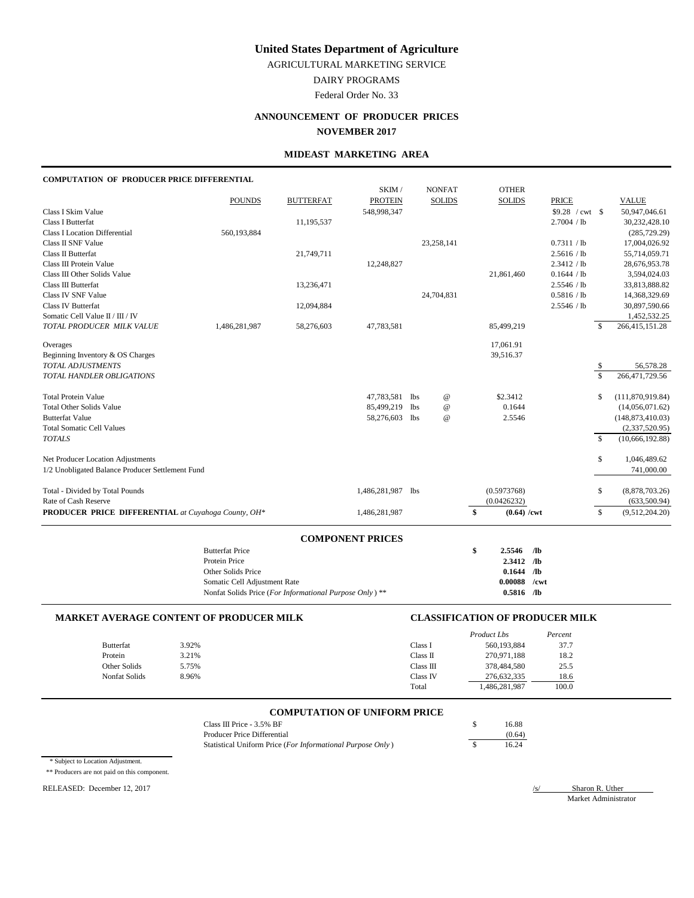AGRICULTURAL MARKETING SERVICE

DAIRY PROGRAMS

Federal Order No. 33

# **ANNOUNCEMENT OF PRODUCER PRICES**

## **NOVEMBER 2017**

## **MIDEAST MARKETING AREA**

#### **COMPUTATION OF PRODUCER PRICE DIFFERENTIAL**

|                                                     |                                                        |                  | SKIM /                  |            | <b>NONFAT</b>   | <b>OTHER</b>        |                  |                    |                    |
|-----------------------------------------------------|--------------------------------------------------------|------------------|-------------------------|------------|-----------------|---------------------|------------------|--------------------|--------------------|
|                                                     | <b>POUNDS</b>                                          | <b>BUTTERFAT</b> | <b>PROTEIN</b>          |            | <b>SOLIDS</b>   | <b>SOLIDS</b>       | <b>PRICE</b>     |                    | <b>VALUE</b>       |
| Class I Skim Value                                  |                                                        |                  | 548,998,347             |            |                 |                     | $$9.28$ / cwt \$ |                    | 50,947,046.61      |
| <b>Class I Butterfat</b>                            |                                                        | 11,195,537       |                         |            |                 |                     | 2.7004 / lb      |                    | 30,232,428.10      |
| <b>Class I Location Differential</b>                | 560,193,884                                            |                  |                         |            |                 |                     |                  |                    | (285, 729.29)      |
| Class II SNF Value                                  |                                                        |                  |                         |            | 23,258,141      |                     | 0.7311 / lb      |                    | 17,004,026.92      |
| Class II Butterfat                                  |                                                        | 21,749,711       |                         |            |                 |                     | 2.5616 / lb      |                    | 55,714,059.71      |
| Class III Protein Value                             |                                                        |                  | 12,248,827              |            |                 |                     | 2.3412 / lb      |                    | 28,676,953.78      |
| Class III Other Solids Value                        |                                                        |                  |                         |            |                 | 21,861,460          | 0.1644 / lb      |                    | 3,594,024.03       |
| Class III Butterfat                                 |                                                        | 13,236,471       |                         |            |                 |                     | 2.5546 / lb      |                    | 33,813,888.82      |
| <b>Class IV SNF Value</b>                           |                                                        |                  |                         |            | 24,704,831      |                     | 0.5816 / lb      |                    | 14,368,329.69      |
| <b>Class IV Butterfat</b>                           |                                                        | 12,094,884       |                         |            |                 |                     | 2.5546 / lb      |                    | 30,897,590.66      |
| Somatic Cell Value II / III / IV                    |                                                        |                  |                         |            |                 |                     |                  |                    | 1,452,532.25       |
| TOTAL PRODUCER MILK VALUE                           | 1,486,281,987                                          | 58,276,603       | 47,783,581              |            |                 | 85,499,219          |                  | \$                 | 266,415,151.28     |
| Overages                                            |                                                        |                  |                         |            |                 | 17,061.91           |                  |                    |                    |
| Beginning Inventory & OS Charges                    |                                                        |                  |                         |            |                 | 39,516.37           |                  |                    |                    |
| TOTAL ADJUSTMENTS                                   |                                                        |                  |                         |            |                 |                     |                  | \$                 | 56,578.28          |
| TOTAL HANDLER OBLIGATIONS                           |                                                        |                  |                         |            |                 |                     |                  | $\mathsf{\$}$      | 266,471,729.56     |
| <b>Total Protein Value</b>                          |                                                        |                  | 47,783,581 lbs          |            | $^{\copyright}$ | \$2.3412            |                  | \$                 | (111,870,919.84)   |
| <b>Total Other Solids Value</b>                     |                                                        |                  | 85,499,219              | <b>lbs</b> | $^{\copyright}$ | 0.1644              |                  |                    | (14,056,071.62)    |
| <b>Butterfat Value</b>                              |                                                        |                  | 58,276,603 lbs          |            | $^{\copyright}$ | 2.5546              |                  |                    | (148, 873, 410.03) |
| <b>Total Somatic Cell Values</b>                    |                                                        |                  |                         |            |                 |                     |                  |                    | (2,337,520.95)     |
| <b>TOTALS</b>                                       |                                                        |                  |                         |            |                 |                     |                  | $\mathbf{\hat{S}}$ | (10, 666, 192.88)  |
| Net Producer Location Adjustments                   |                                                        |                  |                         |            |                 |                     |                  | \$                 | 1,046,489.62       |
| 1/2 Unobligated Balance Producer Settlement Fund    |                                                        |                  |                         |            |                 |                     |                  |                    | 741,000.00         |
| Total - Divided by Total Pounds                     |                                                        |                  | 1,486,281,987 lbs       |            |                 | (0.5973768)         |                  | \$                 | (8,878,703.26)     |
| Rate of Cash Reserve                                |                                                        |                  |                         |            |                 | (0.0426232)         |                  |                    | (633,500.94)       |
| PRODUCER PRICE DIFFERENTIAL at Cuyahoga County, OH* |                                                        |                  | 1,486,281,987           |            |                 | \$<br>$(0.64)$ /cwt |                  | \$                 | (9,512,204.20)     |
|                                                     |                                                        |                  |                         |            |                 |                     |                  |                    |                    |
|                                                     |                                                        |                  | <b>COMPONENT PRICES</b> |            |                 |                     |                  |                    |                    |
|                                                     | <b>Butterfat Price</b>                                 |                  |                         |            |                 | \$<br>2.5546        | /1 <sub>b</sub>  |                    |                    |
|                                                     | Protein Price                                          |                  |                         |            |                 | 2.3412 /lb          |                  |                    |                    |
|                                                     | Other Solids Price                                     |                  |                         |            |                 | 0.1644              | $\sqrt{a}$       |                    |                    |
|                                                     | Somatic Cell Adjustment Rate                           |                  |                         |            |                 | 0.00088             | /cwt             |                    |                    |
|                                                     | Nonfat Solids Price (For Informational Purpose Only)** |                  |                         |            |                 | $0.5816$ /lb        |                  |                    |                    |

#### **MARKET AVERAGE CONTENT OF PRODUCER MILK CLASSIFICATION OF PRODUCER MILK**

|               |       |                       | Product Lbs   | Percent |
|---------------|-------|-----------------------|---------------|---------|
| Butterfat     | 3.92% | Class 1               | 560.193.884   | 37.7    |
| Protein       | 3.21% | Class II              | 270.971.188   | 18.2    |
| Other Solids  | 5.75% | $Class \, \text{III}$ | 378,484,580   | 25.5    |
| Nonfat Solids | 8.96% | Class IV              | 276,632,335   | 18.6    |
|               |       | Total                 | 1,486,281,987 | 100.0   |

## **COMPUTATION OF UNIFORM PRICE**

| Class III Price - 3.5% BF                                  | 16.88  |
|------------------------------------------------------------|--------|
| Producer Price Differential                                | (0.64) |
| Statistical Uniform Price (For Informational Purpose Only) | 16.24  |

\* Subject to Location Adjustment.

RELEASED: December 12, 2017 /s/ Sharon R. Uther

Market Administrator

 <sup>\*\*</sup> Producers are not paid on this component.